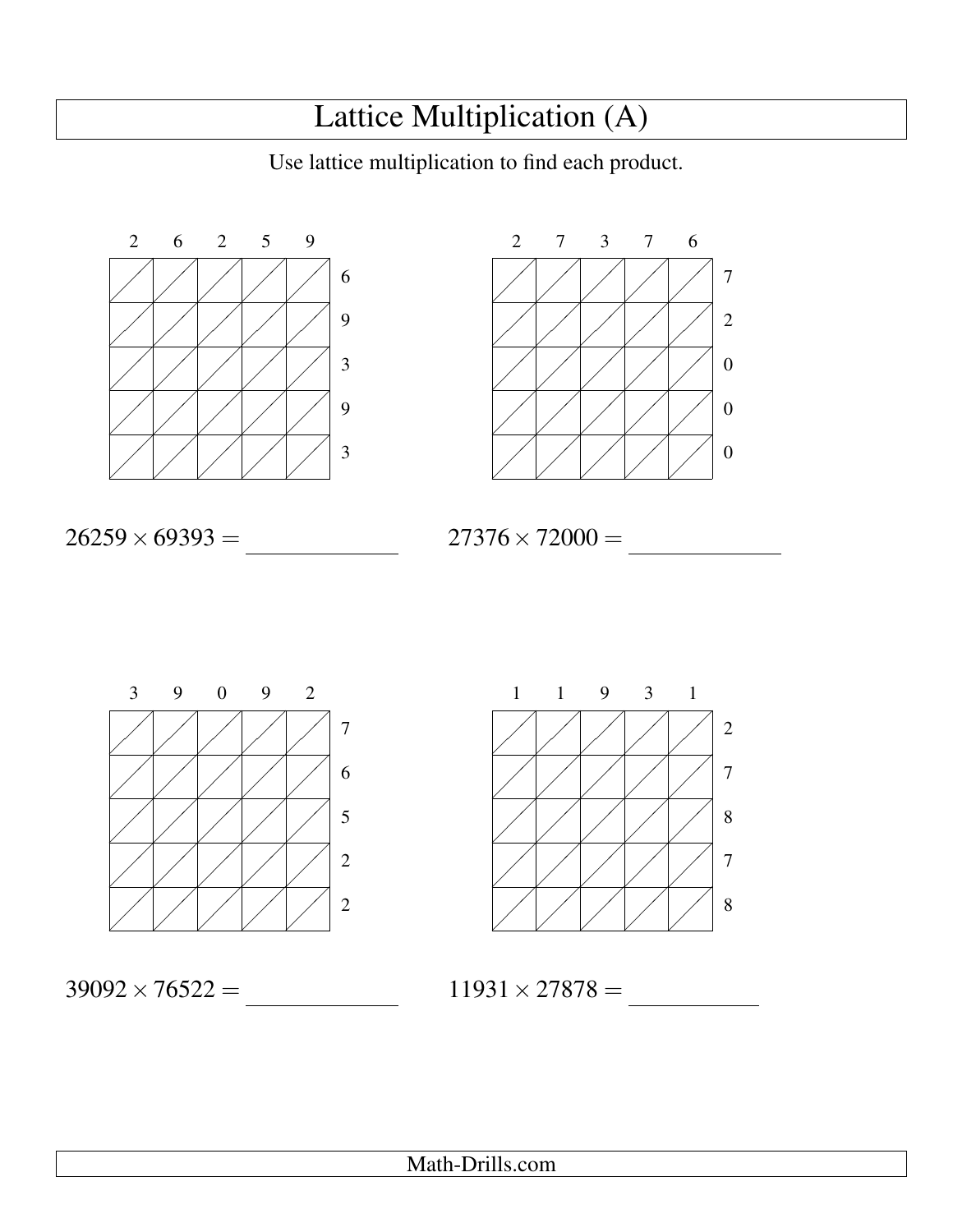## Lattice Multiplication (A)

Use lattice multiplication to find each product.





26259×69393 = 1,822,190,787

 $27376 \times 72000 =$ 



Ϊ ╱ Ζ ╱ ∕ Ζ Ϊ Ϊ  $\diagup$ Ϊ ╱ Ζ ╱ ∕ Ν  $\diagup$ ╱ Τ  $\diagup$ ∕ Τ  $\diagup$ Ϊ Γ  $\diagup$ ╱ Τ  $\diagup$ ∕ Τ  $\diagup$ Ϊ Ζ  $\diagup$ Ϊ Ζ  $\diagup$ Ϊ Ζ  $\diagup$ Ϊ Ζ  $\diagup$ Ϊ Ν  $\diagup$ ╱ Τ  $\diagup$ ∕ Τ  $\diagup$ Ϊ Γ  $\diagup$ ╱ Τ  $\diagup$ ∕ Τ  $\diagup$ Ϊ Ζ  $\swarrow$ Ϊ Ζ  $\diagup$ Ϊ Ζ  $\diagup$ Ϊ Ζ  $\swarrow$ Ϊ Ζ 1 1 9 3 1 2 7 8 7 8

 $39092 \times 76522 =$